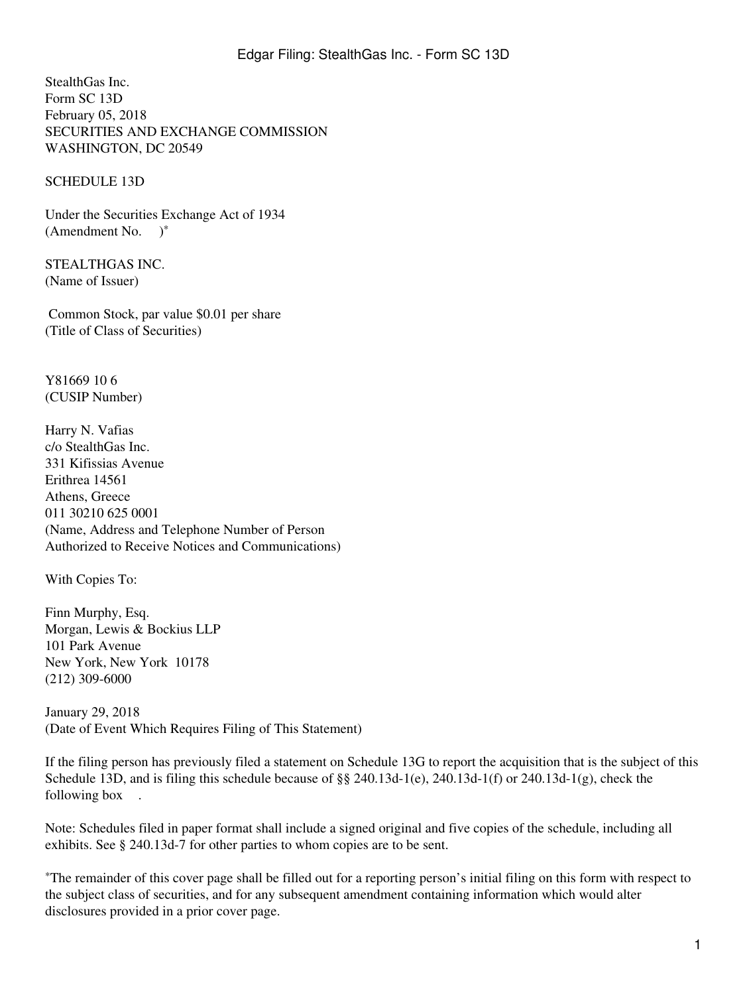StealthGas Inc. Form SC 13D February 05, 2018 SECURITIES AND EXCHANGE COMMISSION WASHINGTON, DC 20549

SCHEDULE 13D

Under the Securities Exchange Act of 1934 (Amendment No. )\*

STEALTHGAS INC. (Name of Issuer)

 Common Stock, par value \$0.01 per share (Title of Class of Securities)

Y81669 10 6 (CUSIP Number)

Harry N. Vafias c/o StealthGas Inc. 331 Kifissias Avenue Erithrea 14561 Athens, Greece 011 30210 625 0001 (Name, Address and Telephone Number of Person Authorized to Receive Notices and Communications)

With Copies To:

Finn Murphy, Esq. Morgan, Lewis & Bockius LLP 101 Park Avenue New York, New York 10178 (212) 309-6000

January 29, 2018 (Date of Event Which Requires Filing of This Statement)

If the filing person has previously filed a statement on Schedule 13G to report the acquisition that is the subject of this Schedule 13D, and is filing this schedule because of  $\S$  240.13d-1(e), 240.13d-1(f) or 240.13d-1(g), check the following box.

Note: Schedules filed in paper format shall include a signed original and five copies of the schedule, including all exhibits. See § 240.13d-7 for other parties to whom copies are to be sent.

\*The remainder of this cover page shall be filled out for a reporting person's initial filing on this form with respect to the subject class of securities, and for any subsequent amendment containing information which would alter disclosures provided in a prior cover page.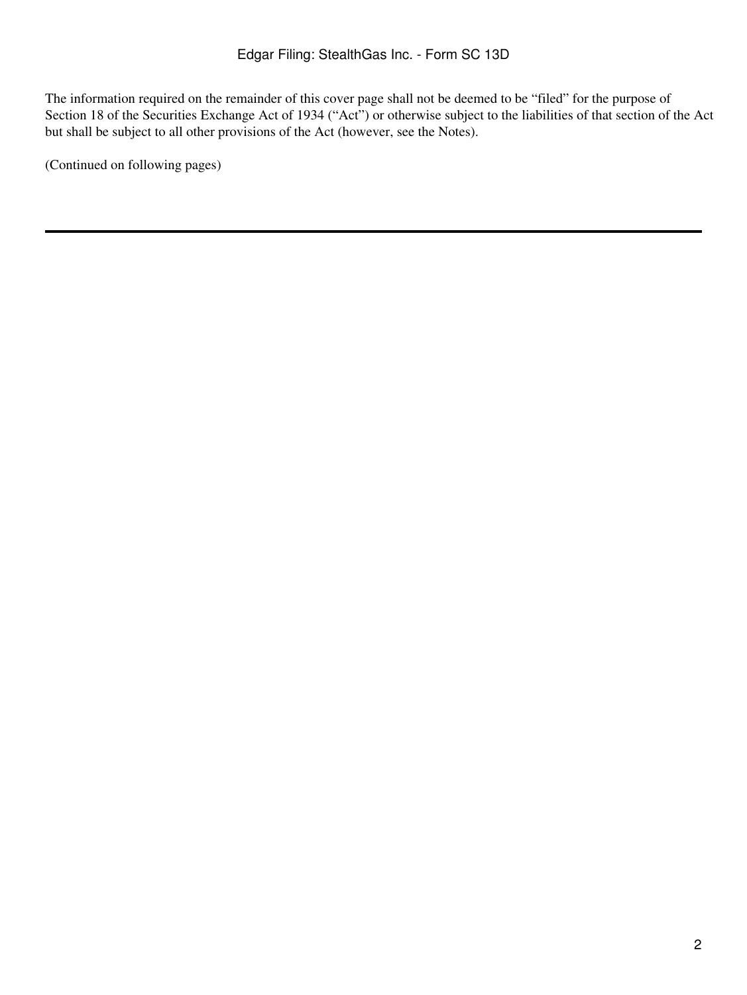The information required on the remainder of this cover page shall not be deemed to be "filed" for the purpose of Section 18 of the Securities Exchange Act of 1934 ("Act") or otherwise subject to the liabilities of that section of the Act but shall be subject to all other provisions of the Act (however, see the Notes).

(Continued on following pages)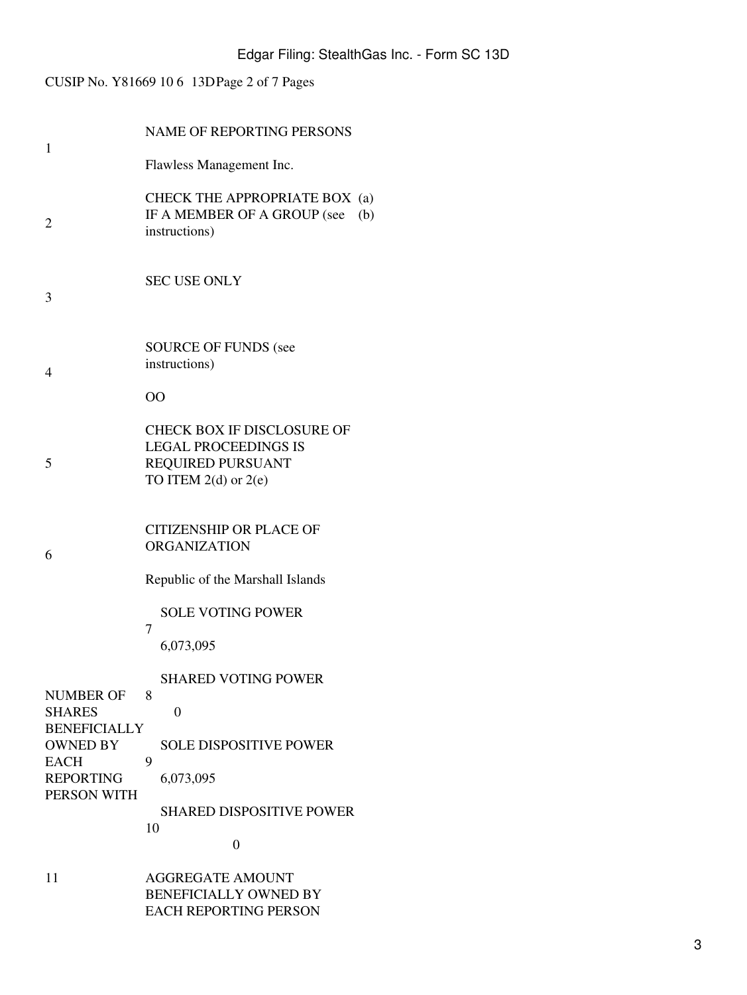# CUSIP No. Y81669 10 6 13DPage 2 of 7 Pages

| 1                                      | <b>NAME OF REPORTING PERSONS</b>                                                                           |
|----------------------------------------|------------------------------------------------------------------------------------------------------------|
|                                        | Flawless Management Inc.                                                                                   |
| 2                                      | CHECK THE APPROPRIATE BOX (a)<br>IF A MEMBER OF A GROUP (see<br>(b)<br>instructions)                       |
| 3                                      | <b>SEC USE ONLY</b>                                                                                        |
| 4                                      | <b>SOURCE OF FUNDS (see</b><br>instructions)<br>00                                                         |
|                                        |                                                                                                            |
| 5                                      | CHECK BOX IF DISCLOSURE OF<br><b>LEGAL PROCEEDINGS IS</b><br>REQUIRED PURSUANT<br>TO ITEM $2(d)$ or $2(e)$ |
| 6                                      | <b>CITIZENSHIP OR PLACE OF</b><br><b>ORGANIZATION</b>                                                      |
|                                        | Republic of the Marshall Islands                                                                           |
| <b>NUMBER OF</b><br><b>SHARES</b>      | <b>SOLE VOTING POWER</b>                                                                                   |
|                                        | 7<br>6,073,095                                                                                             |
|                                        | <b>SHARED VOTING POWER</b>                                                                                 |
|                                        | 8<br>$\overline{0}$                                                                                        |
| <b>BENEFICIALLY</b><br><b>OWNED BY</b> | <b>SOLE DISPOSITIVE POWER</b>                                                                              |
| <b>EACH</b><br><b>REPORTING</b>        | 9<br>6,073,095                                                                                             |
| PERSON WITH                            | <b>SHARED DISPOSITIVE POWER</b><br>10<br>0                                                                 |
| 11                                     | <b>AGGREGATE AMOUNT</b><br><b>BENEFICIALLY OWNED BY</b><br><b>EACH REPORTING PERSON</b>                    |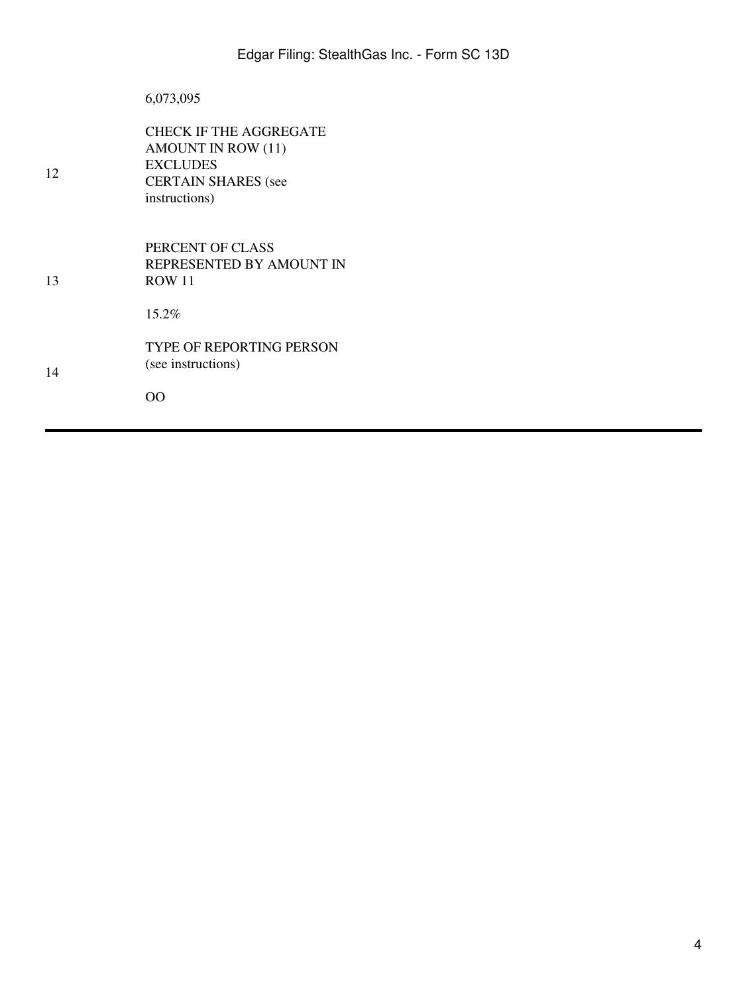## 6,073,095

| 12 | CHECK IF THE AGGREGATE<br><b>AMOUNT IN ROW (11)</b><br><b>EXCLUDES</b><br><b>CERTAIN SHARES</b> (see<br>instructions) |
|----|-----------------------------------------------------------------------------------------------------------------------|
| 13 | PERCENT OF CLASS<br>REPRESENTED BY AMOUNT IN<br><b>ROW 11</b>                                                         |
|    | $15.2\%$                                                                                                              |
| 14 | <b>TYPE OF REPORTING PERSON</b><br>(see instructions)                                                                 |
|    | OΟ                                                                                                                    |
|    |                                                                                                                       |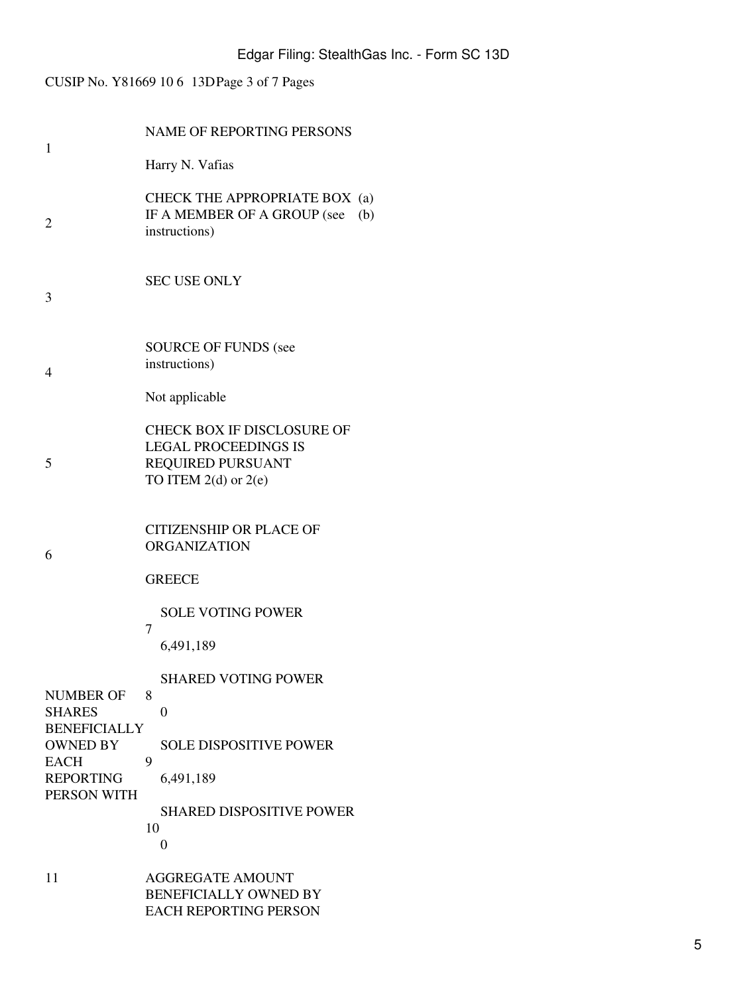# CUSIP No. Y81669 10 6 13DPage 3 of 7 Pages

| 1                                                                                                                             | <b>NAME OF REPORTING PERSONS</b>                                                                                                                                                            |  |
|-------------------------------------------------------------------------------------------------------------------------------|---------------------------------------------------------------------------------------------------------------------------------------------------------------------------------------------|--|
|                                                                                                                               | Harry N. Vafias                                                                                                                                                                             |  |
| 2                                                                                                                             | CHECK THE APPROPRIATE BOX (a)<br>IF A MEMBER OF A GROUP (see<br>(b)<br>instructions)                                                                                                        |  |
| 3                                                                                                                             | <b>SEC USE ONLY</b>                                                                                                                                                                         |  |
| 4                                                                                                                             | <b>SOURCE OF FUNDS (see</b><br>instructions)<br>Not applicable                                                                                                                              |  |
| 5                                                                                                                             | <b>CHECK BOX IF DISCLOSURE OF</b><br><b>LEGAL PROCEEDINGS IS</b><br>REQUIRED PURSUANT<br>TO ITEM $2(d)$ or $2(e)$                                                                           |  |
| 6                                                                                                                             | <b>CITIZENSHIP OR PLACE OF</b><br><b>ORGANIZATION</b><br><b>GREECE</b>                                                                                                                      |  |
| <b>NUMBER OF</b><br><b>SHARES</b><br><b>BENEFICIALLY</b><br><b>OWNED BY</b><br><b>EACH</b><br><b>REPORTING</b><br>PERSON WITH | <b>SOLE VOTING POWER</b><br>7<br>6,491,189<br><b>SHARED VOTING POWER</b><br>8<br>$\overline{0}$<br><b>SOLE DISPOSITIVE POWER</b><br>9<br>6,491,189<br><b>SHARED DISPOSITIVE POWER</b><br>10 |  |
| 11                                                                                                                            | 0<br><b>AGGREGATE AMOUNT</b><br><b>BENEFICIALLY OWNED BY</b><br><b>EACH REPORTING PERSON</b>                                                                                                |  |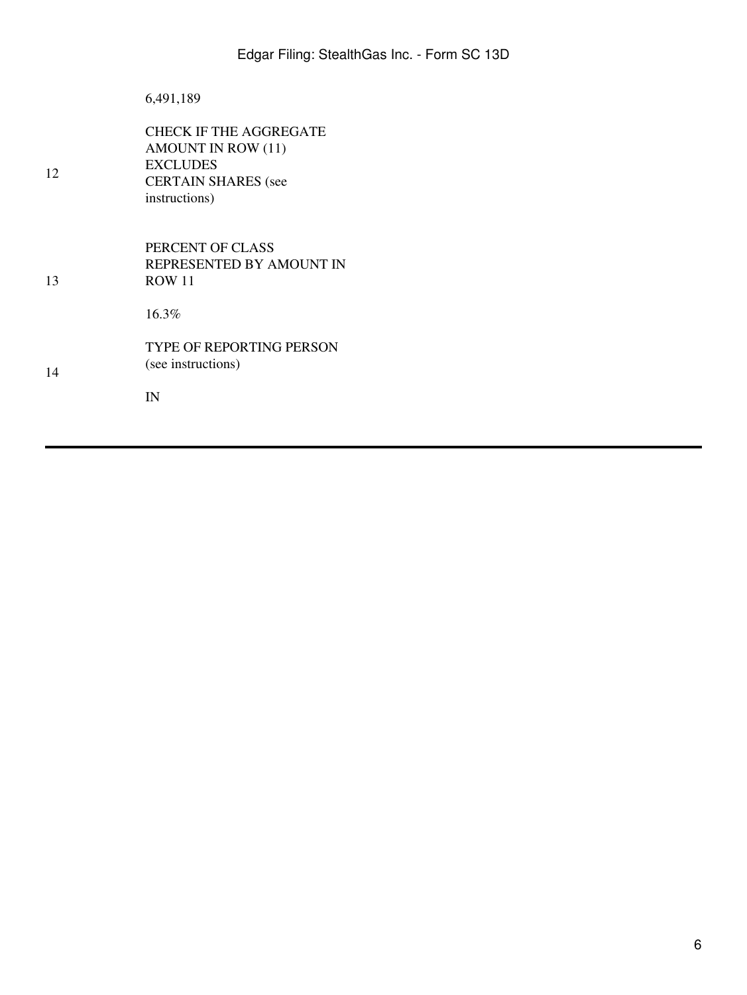|    | 6,491,189                                                                                                                    |
|----|------------------------------------------------------------------------------------------------------------------------------|
| 12 | <b>CHECK IF THE AGGREGATE</b><br><b>AMOUNT IN ROW (11)</b><br><b>EXCLUDES</b><br><b>CERTAIN SHARES</b> (see<br>instructions) |
| 13 | PERCENT OF CLASS<br>REPRESENTED BY AMOUNT IN<br><b>ROW 11</b>                                                                |
| 14 | 16.3%<br><b>TYPE OF REPORTING PERSON</b>                                                                                     |
|    | (see instructions)<br>IN                                                                                                     |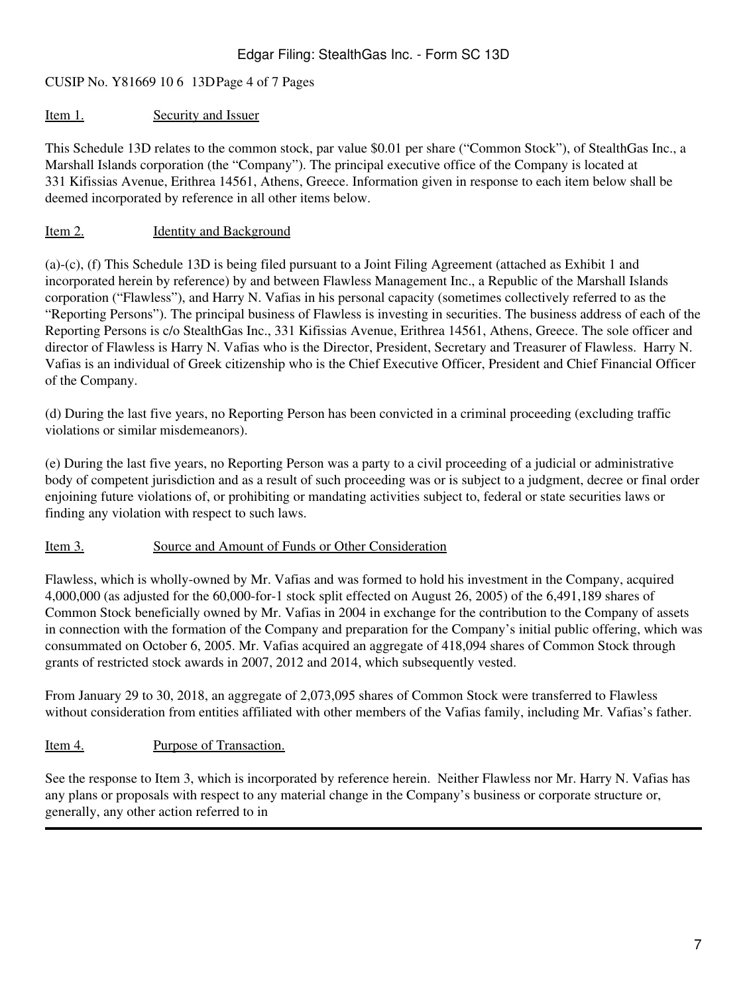## CUSIP No. Y81669 10 6 13DPage 4 of 7 Pages

#### Item 1. Security and Issuer

This Schedule 13D relates to the common stock, par value \$0.01 per share ("Common Stock"), of StealthGas Inc., a Marshall Islands corporation (the "Company"). The principal executive office of the Company is located at 331 Kifissias Avenue, Erithrea 14561, Athens, Greece. Information given in response to each item below shall be deemed incorporated by reference in all other items below.

### Item 2. Identity and Background

(a)-(c), (f) This Schedule 13D is being filed pursuant to a Joint Filing Agreement (attached as Exhibit 1 and incorporated herein by reference) by and between Flawless Management Inc., a Republic of the Marshall Islands corporation ("Flawless"), and Harry N. Vafias in his personal capacity (sometimes collectively referred to as the "Reporting Persons"). The principal business of Flawless is investing in securities. The business address of each of the Reporting Persons is c/o StealthGas Inc., 331 Kifissias Avenue, Erithrea 14561, Athens, Greece. The sole officer and director of Flawless is Harry N. Vafias who is the Director, President, Secretary and Treasurer of Flawless. Harry N. Vafias is an individual of Greek citizenship who is the Chief Executive Officer, President and Chief Financial Officer of the Company.

(d) During the last five years, no Reporting Person has been convicted in a criminal proceeding (excluding traffic violations or similar misdemeanors).

(e) During the last five years, no Reporting Person was a party to a civil proceeding of a judicial or administrative body of competent jurisdiction and as a result of such proceeding was or is subject to a judgment, decree or final order enjoining future violations of, or prohibiting or mandating activities subject to, federal or state securities laws or finding any violation with respect to such laws.

#### Item 3. Source and Amount of Funds or Other Consideration

Flawless, which is wholly-owned by Mr. Vafias and was formed to hold his investment in the Company, acquired 4,000,000 (as adjusted for the 60,000-for-1 stock split effected on August 26, 2005) of the 6,491,189 shares of Common Stock beneficially owned by Mr. Vafias in 2004 in exchange for the contribution to the Company of assets in connection with the formation of the Company and preparation for the Company's initial public offering, which was consummated on October 6, 2005. Mr. Vafias acquired an aggregate of 418,094 shares of Common Stock through grants of restricted stock awards in 2007, 2012 and 2014, which subsequently vested.

From January 29 to 30, 2018, an aggregate of 2,073,095 shares of Common Stock were transferred to Flawless without consideration from entities affiliated with other members of the Vafias family, including Mr. Vafias's father.

#### Item 4. Purpose of Transaction.

See the response to Item 3, which is incorporated by reference herein. Neither Flawless nor Mr. Harry N. Vafias has any plans or proposals with respect to any material change in the Company's business or corporate structure or, generally, any other action referred to in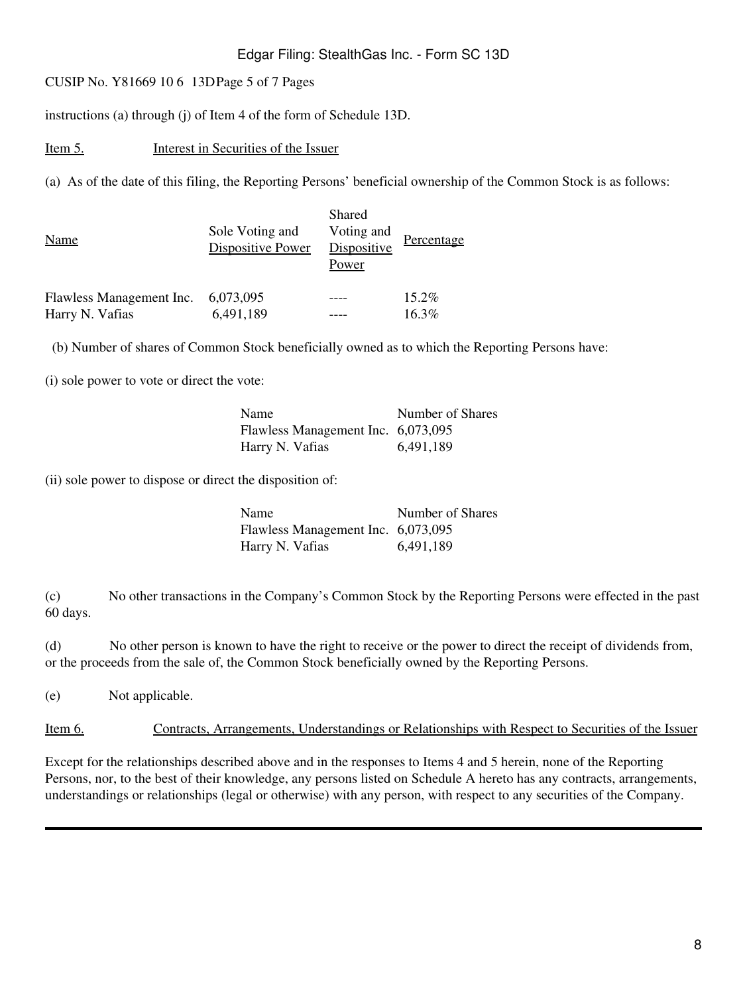#### Edgar Filing: StealthGas Inc. - Form SC 13D

CUSIP No. Y81669 10 6 13DPage 5 of 7 Pages

instructions (a) through (j) of Item 4 of the form of Schedule 13D.

Item 5. Interest in Securities of the Issuer

(a) As of the date of this filing, the Reporting Persons' beneficial ownership of the Common Stock is as follows:

| <b>Name</b>              | Sole Voting and<br><b>Dispositive Power</b> | Shared<br>Voting and<br>Dispositive<br>Power | Percentage |
|--------------------------|---------------------------------------------|----------------------------------------------|------------|
| Flawless Management Inc. | 6,073,095                                   |                                              | $15.2\%$   |
| Harry N. Vafias          | 6,491,189                                   |                                              | 16.3%      |

(b) Number of shares of Common Stock beneficially owned as to which the Reporting Persons have:

(i) sole power to vote or direct the vote:

| Name                               | Number of Shares |
|------------------------------------|------------------|
| Flawless Management Inc. 6,073,095 |                  |
| Harry N. Vafias                    | 6,491,189        |

(ii) sole power to dispose or direct the disposition of:

| Name                               | Number of Shares |
|------------------------------------|------------------|
| Flawless Management Inc. 6,073,095 |                  |
| Harry N. Vafias                    | 6,491,189        |

(c) No other transactions in the Company's Common Stock by the Reporting Persons were effected in the past 60 days.

(d) No other person is known to have the right to receive or the power to direct the receipt of dividends from, or the proceeds from the sale of, the Common Stock beneficially owned by the Reporting Persons.

(e) Not applicable.

Item 6. Contracts, Arrangements, Understandings or Relationships with Respect to Securities of the Issuer

Except for the relationships described above and in the responses to Items 4 and 5 herein, none of the Reporting Persons, nor, to the best of their knowledge, any persons listed on Schedule A hereto has any contracts, arrangements, understandings or relationships (legal or otherwise) with any person, with respect to any securities of the Company.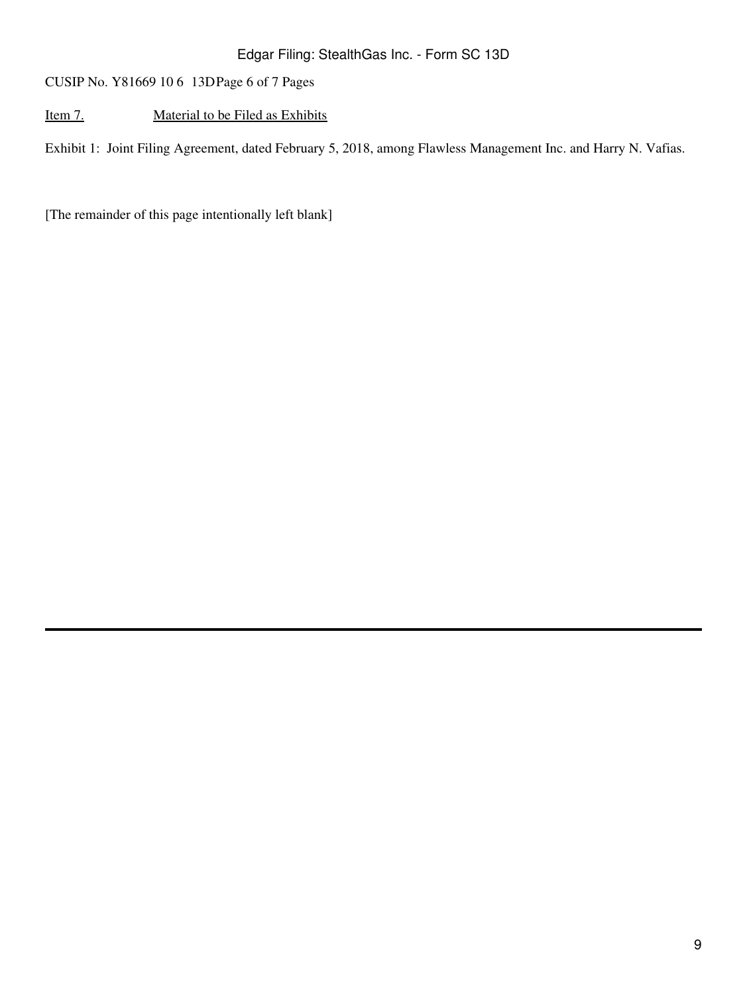CUSIP No. Y81669 10 6 13DPage 6 of 7 Pages

### Item 7. Material to be Filed as Exhibits

Exhibit 1: Joint Filing Agreement, dated February 5, 2018, among Flawless Management Inc. and Harry N. Vafias.

[The remainder of this page intentionally left blank]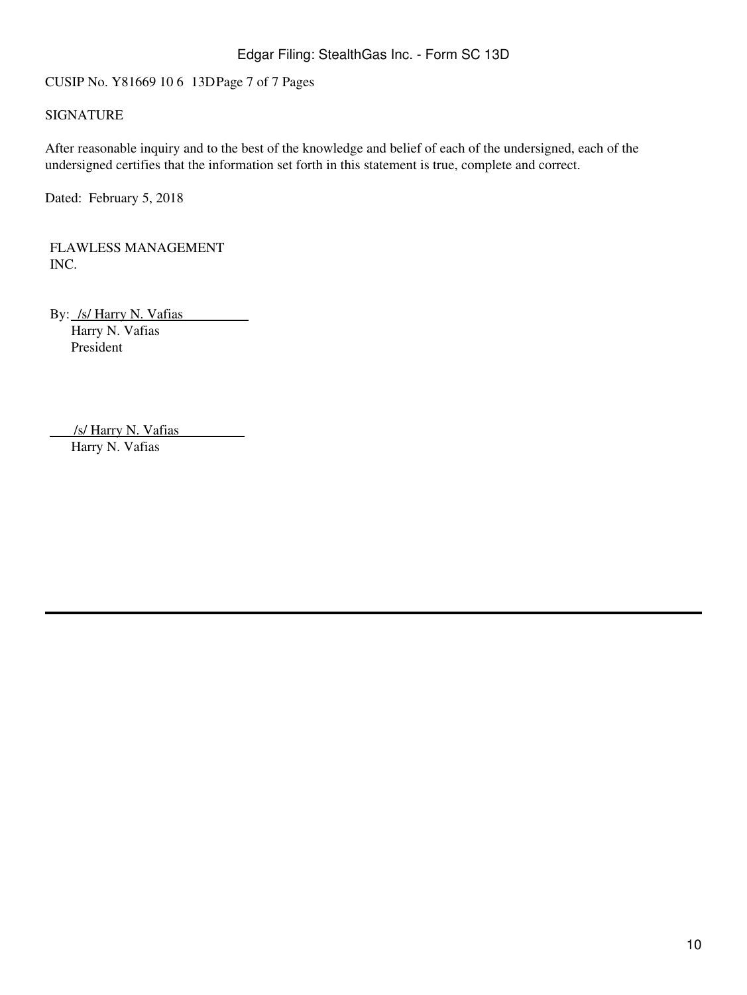CUSIP No. Y81669 10 6 13DPage 7 of 7 Pages

#### SIGNATURE

After reasonable inquiry and to the best of the knowledge and belief of each of the undersigned, each of the undersigned certifies that the information set forth in this statement is true, complete and correct.

Dated: February 5, 2018

FLAWLESS MANAGEMENT INC.

By: /s/ Harry N. Vafias Harry N. Vafias President

 /s/ Harry N. Vafias Harry N. Vafias